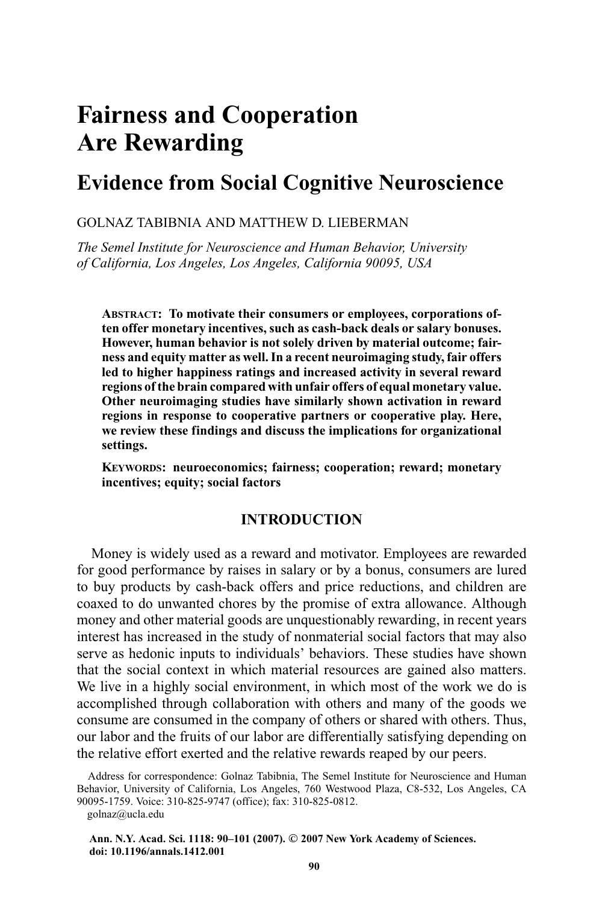# **Fairness and Cooperation Are Rewarding**

# **Evidence from Social Cognitive Neuroscience**

# GOLNAZ TABIBNIA AND MATTHEW D. LIEBERMAN

*The Semel Institute for Neuroscience and Human Behavior, University of California, Los Angeles, Los Angeles, California 90095, USA*

**ABSTRACT: To motivate their consumers or employees, corporations often offer monetary incentives,such as cash-back deals or salary bonuses. However, human behavior is not solely driven by material outcome; fairness and equity matter as well.In a recent neuroimaging study, fair offers led to higher happiness ratings and increased activity in several reward regions ofthe brain compared with unfair offers of equal monetary value. Other neuroimaging studies have similarly shown activation in reward regions in response to cooperative partners or cooperative play. Here, we review these findings and discuss the implications for organizational settings.**

**KEYWORDS: neuroeconomics; fairness; cooperation; reward; monetary incentives; equity; social factors**

# **INTRODUCTION**

Money is widely used as a reward and motivator. Employees are rewarded for good performance by raises in salary or by a bonus, consumers are lured to buy products by cash-back offers and price reductions, and children are coaxed to do unwanted chores by the promise of extra allowance. Although money and other material goods are unquestionably rewarding, in recent years interest has increased in the study of nonmaterial social factors that may also serve as hedonic inputs to individuals' behaviors. These studies have shown that the social context in which material resources are gained also matters. We live in a highly social environment, in which most of the work we do is accomplished through collaboration with others and many of the goods we consume are consumed in the company of others or shared with others. Thus, our labor and the fruits of our labor are differentially satisfying depending on the relative effort exerted and the relative rewards reaped by our peers.

**Ann. N.Y. Acad. Sci. 1118: 90–101 (2007).** !**<sup>C</sup> 2007 New York Academy of Sciences. doi: 10.1196/annals.1412.001**

Address for correspondence: Golnaz Tabibnia, The Semel Institute for Neuroscience and Human Behavior, University of California, Los Angeles, 760 Westwood Plaza, C8-532, Los Angeles, CA 90095-1759. Voice: 310-825-9747 (office); fax: 310-825-0812.

golnaz@ucla.edu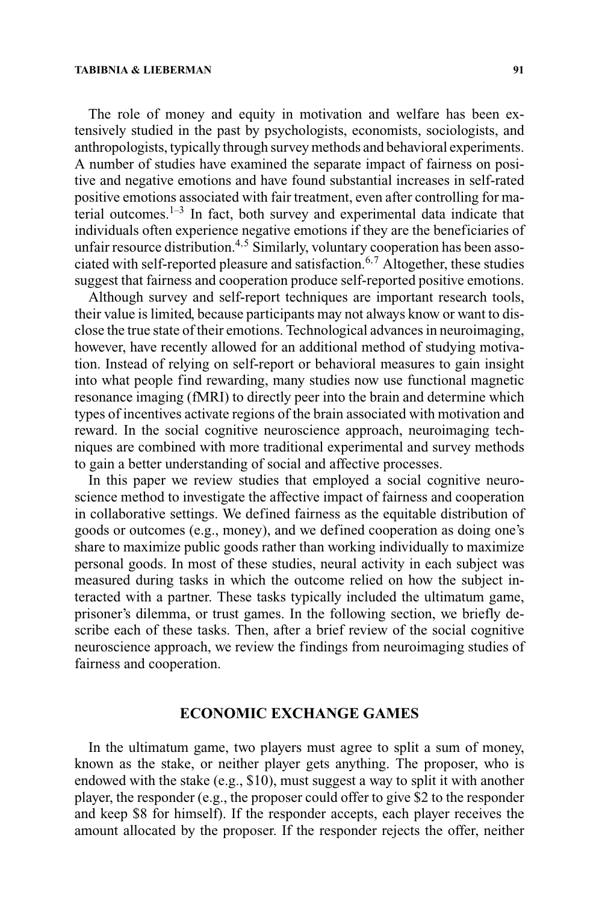#### **TABIBNIA & LIEBERMAN 91**

The role of money and equity in motivation and welfare has been extensively studied in the past by psychologists, economists, sociologists, and anthropologists, typically through surveymethods and behavioral experiments. A number of studies have examined the separate impact of fairness on positive and negative emotions and have found substantial increases in self-rated positive emotions associated with fair treatment, even after controlling for material outcomes. $1-3$  In fact, both survey and experimental data indicate that individuals often experience negative emotions if they are the beneficiaries of unfair resource distribution.<sup>4,5</sup> Similarly, voluntary cooperation has been associated with self-reported pleasure and satisfaction.<sup>6,7</sup> Altogether, these studies suggest that fairness and cooperation produce self-reported positive emotions.

Although survey and self-report techniques are important research tools, their value islimited, because participants may not always know or want to disclose the true state of their emotions. Technological advances in neuroimaging, however, have recently allowed for an additional method of studying motivation. Instead of relying on self-report or behavioral measures to gain insight into what people find rewarding, many studies now use functional magnetic resonance imaging (fMRI) to directly peer into the brain and determine which types of incentives activate regions of the brain associated with motivation and reward. In the social cognitive neuroscience approach, neuroimaging techniques are combined with more traditional experimental and survey methods to gain a better understanding of social and affective processes.

In this paper we review studies that employed a social cognitive neuroscience method to investigate the affective impact of fairness and cooperation in collaborative settings. We defined fairness as the equitable distribution of goods or outcomes (e.g., money), and we defined cooperation as doing one's share to maximize public goods rather than working individually to maximize personal goods. In most of these studies, neural activity in each subject was measured during tasks in which the outcome relied on how the subject interacted with a partner. These tasks typically included the ultimatum game, prisoner's dilemma, or trust games. In the following section, we briefly describe each of these tasks. Then, after a brief review of the social cognitive neuroscience approach, we review the findings from neuroimaging studies of fairness and cooperation.

#### **ECONOMIC EXCHANGE GAMES**

In the ultimatum game, two players must agree to split a sum of money, known as the stake, or neither player gets anything. The proposer, who is endowed with the stake (e.g., \$10), must suggest a way to split it with another player, the responder (e.g., the proposer could offer to give \$2 to the responder and keep \$8 for himself). If the responder accepts, each player receives the amount allocated by the proposer. If the responder rejects the offer, neither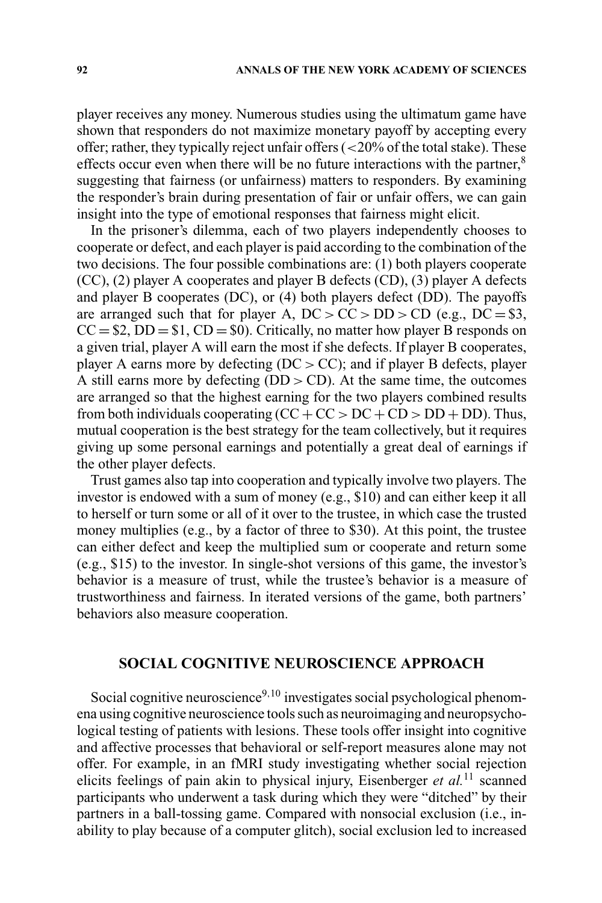player receives any money. Numerous studies using the ultimatum game have shown that responders do not maximize monetary payoff by accepting every offer; rather, they typically reject unfair offers  $\left( \frac{1}{20\%} \right)$  of the total stake). These effects occur even when there will be no future interactions with the partner,<sup>8</sup> suggesting that fairness (or unfairness) matters to responders. By examining the responder's brain during presentation of fair or unfair offers, we can gain insight into the type of emotional responses that fairness might elicit.

In the prisoner's dilemma, each of two players independently chooses to cooperate or defect, and each player is paid according to the combination of the two decisions. The four possible combinations are: (1) both players cooperate (CC), (2) player A cooperates and player B defects (CD), (3) player A defects and player B cooperates (DC), or (4) both players defect (DD). The payoffs are arranged such that for player A,  $DC > CC > DD > CD$  (e.g.,  $DC = $3$ ,  $CC = $2, DD = $1, CD = $0$ . Critically, no matter how player B responds on a given trial, player A will earn the most if she defects. If player B cooperates, player A earns more by defecting (DC > CC); and if player B defects, player A still earns more by defecting  $(DD > CD)$ . At the same time, the outcomes are arranged so that the highest earning for the two players combined results from both individuals cooperating  $(CC + CC > DC + CD > DD + DD)$ . Thus, mutual cooperation is the best strategy for the team collectively, but it requires giving up some personal earnings and potentially a great deal of earnings if the other player defects.

Trust games also tap into cooperation and typically involve two players. The investor is endowed with a sum of money (e.g., \$10) and can either keep it all to herself or turn some or all of it over to the trustee, in which case the trusted money multiplies (e.g., by a factor of three to \$30). At this point, the trustee can either defect and keep the multiplied sum or cooperate and return some (e.g., \$15) to the investor. In single-shot versions of this game, the investor's behavior is a measure of trust, while the trustee's behavior is a measure of trustworthiness and fairness. In iterated versions of the game, both partners' behaviors also measure cooperation.

#### **SOCIAL COGNITIVE NEUROSCIENCE APPROACH**

Social cognitive neuroscience<sup>9,10</sup> investigates social psychological phenomena using cognitive neuroscience toolssuch as neuroimaging and neuropsychological testing of patients with lesions. These tools offer insight into cognitive and affective processes that behavioral or self-report measures alone may not offer. For example, in an fMRI study investigating whether social rejection elicits feelings of pain akin to physical injury, Eisenberger *et al.*<sup>11</sup> scanned participants who underwent a task during which they were "ditched" by their partners in a ball-tossing game. Compared with nonsocial exclusion (i.e., inability to play because of a computer glitch), social exclusion led to increased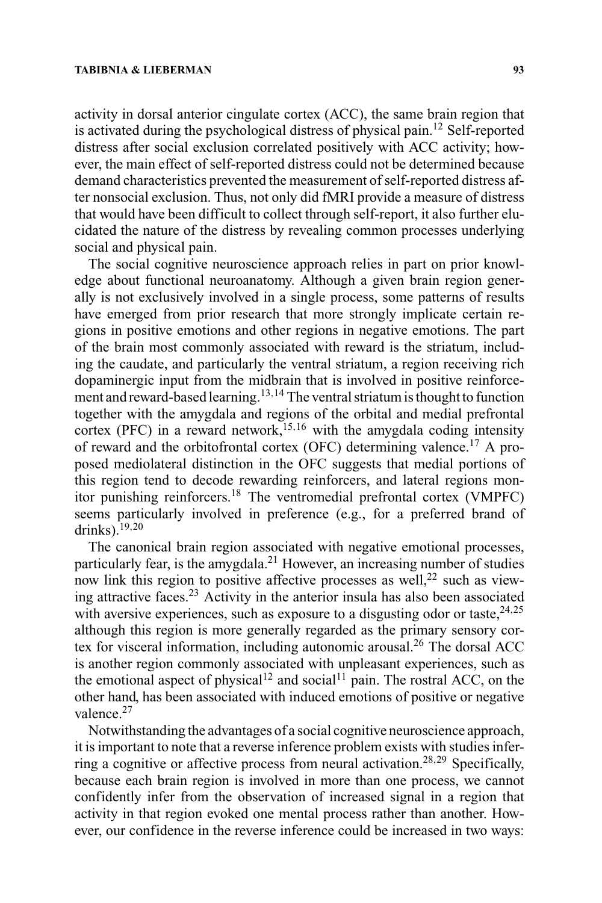activity in dorsal anterior cingulate cortex (ACC), the same brain region that is activated during the psychological distress of physical pain.<sup>12</sup> Self-reported distress after social exclusion correlated positively with ACC activity; however, the main effect of self-reported distress could not be determined because demand characteristics prevented the measurement ofself-reported distress after nonsocial exclusion. Thus, not only did fMRI provide a measure of distress that would have been difficult to collect through self-report, it also further elucidated the nature of the distress by revealing common processes underlying social and physical pain.

The social cognitive neuroscience approach relies in part on prior knowledge about functional neuroanatomy. Although a given brain region generally is not exclusively involved in a single process, some patterns of results have emerged from prior research that more strongly implicate certain regions in positive emotions and other regions in negative emotions. The part of the brain most commonly associated with reward is the striatum, including the caudate, and particularly the ventral striatum, a region receiving rich dopaminergic input from the midbrain that is involved in positive reinforcement and reward-based learning.<sup>13,14</sup> The ventral striatum is thought to function together with the amygdala and regions of the orbital and medial prefrontal cortex (PFC) in a reward network,<sup>15,16</sup> with the amygdala coding intensity of reward and the orbitofrontal cortex (OFC) determining valence.<sup>17</sup> A proposed mediolateral distinction in the OFC suggests that medial portions of this region tend to decode rewarding reinforcers, and lateral regions monitor punishing reinforcers.<sup>18</sup> The ventromedial prefrontal cortex (VMPFC) seems particularly involved in preference (e.g., for a preferred brand of drinks). $19,20$ 

The canonical brain region associated with negative emotional processes, particularly fear, is the amygdala.<sup>21</sup> However, an increasing number of studies now link this region to positive affective processes as well, $^{22}$  such as viewing attractive faces.<sup>23</sup> Activity in the anterior insula has also been associated with aversive experiences, such as exposure to a disgusting odor or taste,  $24.25$ although this region is more generally regarded as the primary sensory cortex for visceral information, including autonomic arousal.26 The dorsal ACC is another region commonly associated with unpleasant experiences, such as the emotional aspect of physical<sup>12</sup> and social<sup>11</sup> pain. The rostral ACC, on the other hand, has been associated with induced emotions of positive or negative valence.<sup>27</sup>

Notwithstanding the advantages of a social cognitive neuroscience approach, it is important to note that a reverse inference problem exists with studies inferring a cognitive or affective process from neural activation.<sup>28,29</sup> Specifically, because each brain region is involved in more than one process, we cannot confidently infer from the observation of increased signal in a region that activity in that region evoked one mental process rather than another. However, our confidence in the reverse inference could be increased in two ways: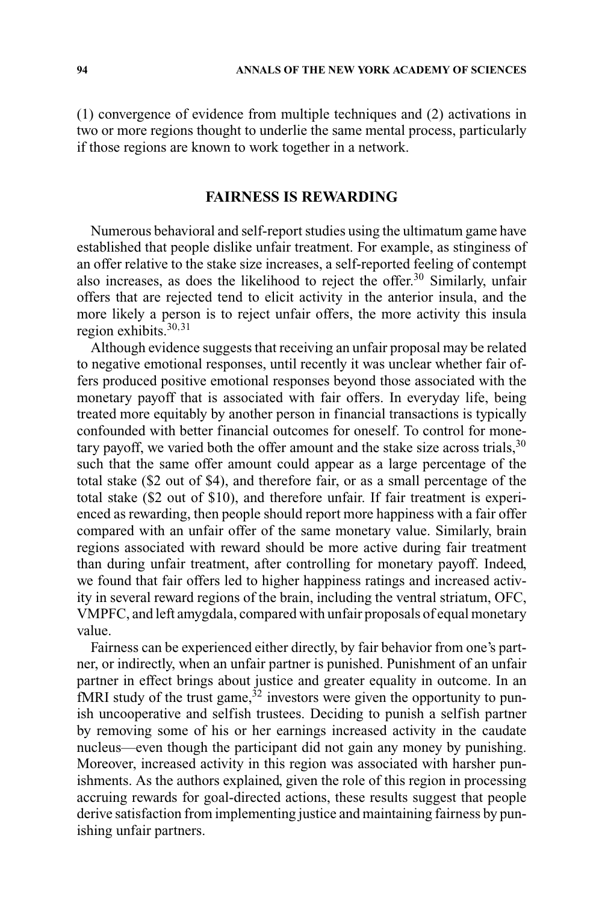(1) convergence of evidence from multiple techniques and (2) activations in two or more regions thought to underlie the same mental process, particularly if those regions are known to work together in a network.

#### **FAIRNESS IS REWARDING**

Numerous behavioral and self-report studies using the ultimatum game have established that people dislike unfair treatment. For example, as stinginess of an offer relative to the stake size increases, a self-reported feeling of contempt also increases, as does the likelihood to reject the offer. <sup>30</sup> Similarly, unfair offers that are rejected tend to elicit activity in the anterior insula, and the more likely a person is to reject unfair offers, the more activity this insula region exhibits. $30,31$ 

Although evidence suggests that receiving an unfair proposal may be related to negative emotional responses, until recently it was unclear whether fair offers produced positive emotional responses beyond those associated with the monetary payoff that is associated with fair offers. In everyday life, being treated more equitably by another person in financial transactions is typically confounded with better financial outcomes for oneself. To control for monetary payoff, we varied both the offer amount and the stake size across trials,  $30$ such that the same offer amount could appear as a large percentage of the total stake (\$2 out of \$4), and therefore fair, or as a small percentage of the total stake (\$2 out of \$10), and therefore unfair. If fair treatment is experienced as rewarding, then people should report more happiness with a fair offer compared with an unfair offer of the same monetary value. Similarly, brain regions associated with reward should be more active during fair treatment than during unfair treatment, after controlling for monetary payoff. Indeed, we found that fair offers led to higher happiness ratings and increased activity in several reward regions of the brain, including the ventral striatum, OFC, VMPFC, and left amygdala, compared with unfair proposals of equal monetary value.

Fairness can be experienced either directly, by fair behavior from one's partner, or indirectly, when an unfair partner is punished. Punishment of an unfair partner in effect brings about justice and greater equality in outcome. In an fMRI study of the trust game, $32$  investors were given the opportunity to punish uncooperative and selfish trustees. Deciding to punish a selfish partner by removing some of his or her earnings increased activity in the caudate nucleus—even though the participant did not gain any money by punishing. Moreover, increased activity in this region was associated with harsher punishments. As the authors explained, given the role of this region in processing accruing rewards for goal-directed actions, these results suggest that people derive satisfaction from implementing justice and maintaining fairness by punishing unfair partners.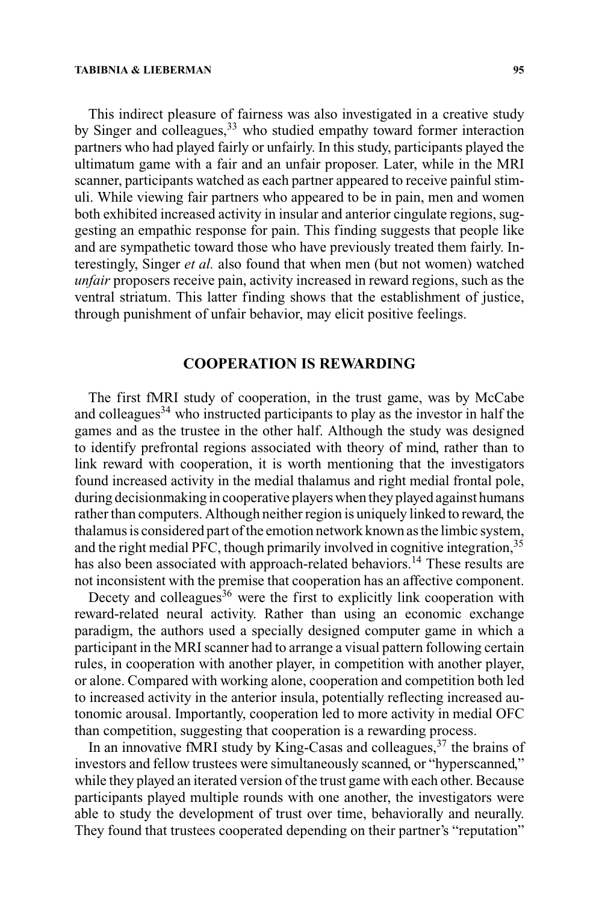#### **TABIBNIA & LIEBERMAN 95**

This indirect pleasure of fairness was also investigated in a creative study by Singer and colleagues,<sup>33</sup> who studied empathy toward former interaction partners who had played fairly or unfairly. In this study, participants played the ultimatum game with a fair and an unfair proposer. Later, while in the MRI scanner, participants watched as each partner appeared to receive painful stimuli. While viewing fair partners who appeared to be in pain, men and women both exhibited increased activity in insular and anterior cingulate regions, suggesting an empathic response for pain. This finding suggests that people like and are sympathetic toward those who have previously treated them fairly. Interestingly, Singer *et al.* also found that when men (but not women) watched *unfair* proposers receive pain, activity increased in reward regions, such as the ventral striatum. This latter finding shows that the establishment of justice, through punishment of unfair behavior, may elicit positive feelings.

#### **COOPERATION IS REWARDING**

The first fMRI study of cooperation, in the trust game, was by McCabe and colleagues<sup>34</sup> who instructed participants to play as the investor in half the games and as the trustee in the other half. Although the study was designed to identify prefrontal regions associated with theory of mind, rather than to link reward with cooperation, it is worth mentioning that the investigators found increased activity in the medial thalamus and right medial frontal pole, during decisionmaking in cooperative playerswhen they played against humans rather than computers. Although neither region is uniquely linked to reward, the thalamus is considered part of the emotion network known as the limbic system, and the right medial PFC, though primarily involved in cognitive integration,  $35$ has also been associated with approach-related behaviors.<sup>14</sup> These results are not inconsistent with the premise that cooperation has an affective component.

Decety and colleagues<sup>36</sup> were the first to explicitly link cooperation with reward-related neural activity. Rather than using an economic exchange paradigm, the authors used a specially designed computer game in which a participant in the MRI scanner had to arrange a visual pattern following certain rules, in cooperation with another player, in competition with another player, or alone. Compared with working alone, cooperation and competition both led to increased activity in the anterior insula, potentially reflecting increased autonomic arousal. Importantly, cooperation led to more activity in medial OFC than competition, suggesting that cooperation is a rewarding process.

In an innovative fMRI study by King-Casas and colleagues,<sup>37</sup> the brains of investors and fellow trustees were simultaneously scanned, or "hyperscanned," while they played an iterated version of the trust game with each other. Because participants played multiple rounds with one another, the investigators were able to study the development of trust over time, behaviorally and neurally. They found that trustees cooperated depending on their partner's "reputation"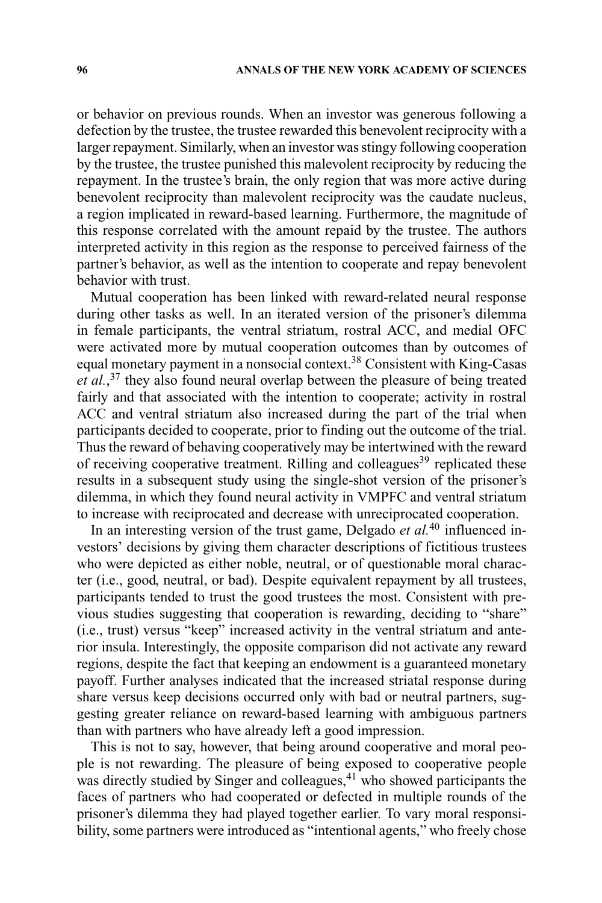or behavior on previous rounds. When an investor was generous following a defection by the trustee, the trustee rewarded this benevolent reciprocity with a larger repayment. Similarly, when an investor was stingy following cooperation by the trustee, the trustee punished this malevolent reciprocity by reducing the repayment. In the trustee's brain, the only region that was more active during benevolent reciprocity than malevolent reciprocity was the caudate nucleus, a region implicated in reward-based learning. Furthermore, the magnitude of this response correlated with the amount repaid by the trustee. The authors interpreted activity in this region as the response to perceived fairness of the partner's behavior, as well as the intention to cooperate and repay benevolent behavior with trust.

Mutual cooperation has been linked with reward-related neural response during other tasks as well. In an iterated version of the prisoner's dilemma in female participants, the ventral striatum, rostral ACC, and medial OFC were activated more by mutual cooperation outcomes than by outcomes of equal monetary payment in a nonsocial context.<sup>38</sup> Consistent with King-Casas *et al.*, <sup>37</sup> they also found neural overlap between the pleasure of being treated fairly and that associated with the intention to cooperate; activity in rostral ACC and ventral striatum also increased during the part of the trial when participants decided to cooperate, prior to finding out the outcome of the trial. Thus the reward of behaving cooperatively may be intertwined with the reward of receiving cooperative treatment. Rilling and colleagues<sup>39</sup> replicated these results in a subsequent study using the single-shot version of the prisoner's dilemma, in which they found neural activity in VMPFC and ventral striatum to increase with reciprocated and decrease with unreciprocated cooperation.

In an interesting version of the trust game, Delgado *et al.*<sup>40</sup> influenced investors' decisions by giving them character descriptions of fictitious trustees who were depicted as either noble, neutral, or of questionable moral character (i.e., good, neutral, or bad). Despite equivalent repayment by all trustees, participants tended to trust the good trustees the most. Consistent with previous studies suggesting that cooperation is rewarding, deciding to "share" (i.e., trust) versus "keep" increased activity in the ventral striatum and anterior insula. Interestingly, the opposite comparison did not activate any reward regions, despite the fact that keeping an endowment is a guaranteed monetary payoff. Further analyses indicated that the increased striatal response during share versus keep decisions occurred only with bad or neutral partners, suggesting greater reliance on reward-based learning with ambiguous partners than with partners who have already left a good impression.

This is not to say, however, that being around cooperative and moral people is not rewarding. The pleasure of being exposed to cooperative people was directly studied by Singer and colleagues, $41$  who showed participants the faces of partners who had cooperated or defected in multiple rounds of the prisoner's dilemma they had played together earlier. To vary moral responsibility, some partners were introduced as "intentional agents," who freely chose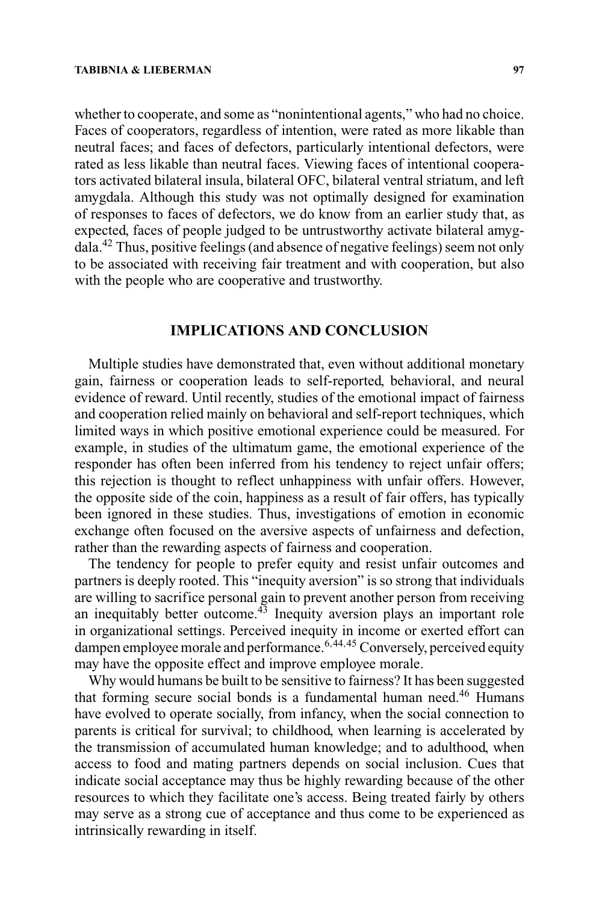whether to cooperate, and some as "nonintentional agents," who had no choice. Faces of cooperators, regardless of intention, were rated as more likable than neutral faces; and faces of defectors, particularly intentional defectors, were rated as less likable than neutral faces. Viewing faces of intentional cooperators activated bilateral insula, bilateral OFC, bilateral ventral striatum, and left amygdala. Although this study was not optimally designed for examination of responses to faces of defectors, we do know from an earlier study that, as expected, faces of people judged to be untrustworthy activate bilateral amygdala.<sup>42</sup> Thus, positive feelings (and absence of negative feelings) seem not only to be associated with receiving fair treatment and with cooperation, but also with the people who are cooperative and trustworthy.

#### **IMPLICATIONS AND CONCLUSION**

Multiple studies have demonstrated that, even without additional monetary gain, fairness or cooperation leads to self-reported, behavioral, and neural evidence of reward. Until recently, studies of the emotional impact of fairness and cooperation relied mainly on behavioral and self-report techniques, which limited ways in which positive emotional experience could be measured. For example, in studies of the ultimatum game, the emotional experience of the responder has often been inferred from his tendency to reject unfair offers; this rejection is thought to reflect unhappiness with unfair offers. However, the opposite side of the coin, happiness as a result of fair offers, has typically been ignored in these studies. Thus, investigations of emotion in economic exchange often focused on the aversive aspects of unfairness and defection, rather than the rewarding aspects of fairness and cooperation.

The tendency for people to prefer equity and resist unfair outcomes and partners is deeply rooted. This "inequity aversion" is so strong that individuals are willing to sacrifice personal gain to prevent another person from receiving an inequitably better outcome. $43$  Inequity aversion plays an important role in organizational settings. Perceived inequity in income or exerted effort can dampen employee morale and performance.<sup>6,44,45</sup> Conversely, perceived equity may have the opposite effect and improve employee morale.

Why would humans be built to be sensitive to fairness? It has been suggested that forming secure social bonds is a fundamental human need.<sup>46</sup> Humans have evolved to operate socially, from infancy, when the social connection to parents is critical for survival; to childhood, when learning is accelerated by the transmission of accumulated human knowledge; and to adulthood, when access to food and mating partners depends on social inclusion. Cues that indicate social acceptance may thus be highly rewarding because of the other resources to which they facilitate one's access. Being treated fairly by others may serve as a strong cue of acceptance and thus come to be experienced as intrinsically rewarding in itself.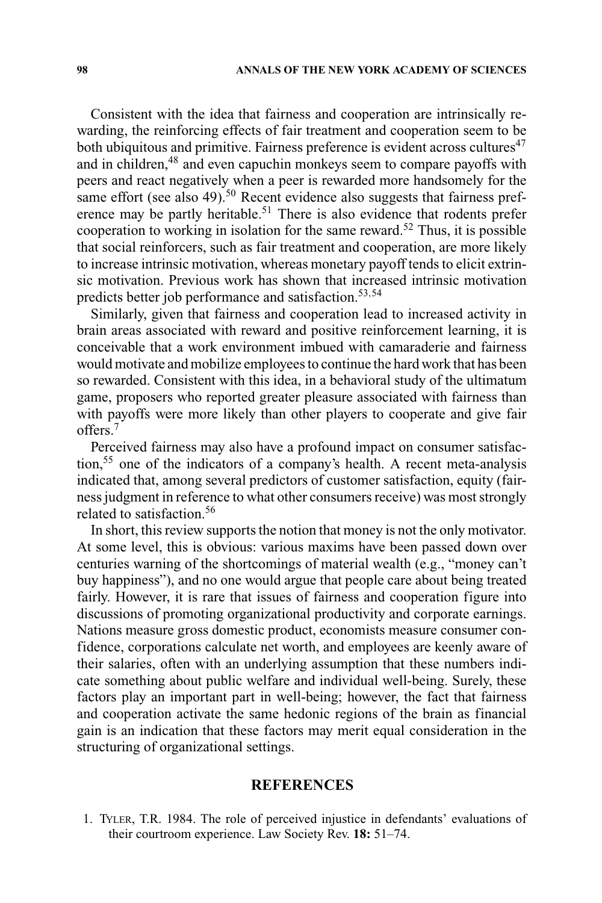Consistent with the idea that fairness and cooperation are intrinsically rewarding, the reinforcing effects of fair treatment and cooperation seem to be both ubiquitous and primitive. Fairness preference is evident across cultures $47$ and in children,<sup>48</sup> and even capuchin monkeys seem to compare payoffs with peers and react negatively when a peer is rewarded more handsomely for the same effort (see also 49).<sup>50</sup> Recent evidence also suggests that fairness preference may be partly heritable.<sup>51</sup> There is also evidence that rodents prefer cooperation to working in isolation for the same reward.<sup>52</sup> Thus, it is possible that social reinforcers, such as fair treatment and cooperation, are more likely to increase intrinsic motivation, whereas monetary payoff tends to elicit extrinsic motivation. Previous work has shown that increased intrinsic motivation predicts better job performance and satisfaction.<sup>53</sup>,<sup>54</sup>

Similarly, given that fairness and cooperation lead to increased activity in brain areas associated with reward and positive reinforcement learning, it is conceivable that a work environment imbued with camaraderie and fairness would motivate and mobilize employees to continue the hard work that has been so rewarded. Consistent with this idea, in a behavioral study of the ultimatum game, proposers who reported greater pleasure associated with fairness than with payoffs were more likely than other players to cooperate and give fair offers<sup>7</sup>

Perceived fairness may also have a profound impact on consumer satisfaction,<sup>55</sup> one of the indicators of a company's health. A recent meta-analysis indicated that, among several predictors of customer satisfaction, equity (fairness judgment in reference to what other consumers receive) was most strongly related to satisfaction.<sup>56</sup>

In short, this review supports the notion that money is not the only motivator. At some level, this is obvious: various maxims have been passed down over centuries warning of the shortcomings of material wealth (e.g., "money can't buy happiness"), and no one would argue that people care about being treated fairly. However, it is rare that issues of fairness and cooperation figure into discussions of promoting organizational productivity and corporate earnings. Nations measure gross domestic product, economists measure consumer confidence, corporations calculate net worth, and employees are keenly aware of their salaries, often with an underlying assumption that these numbers indicate something about public welfare and individual well-being. Surely, these factors play an important part in well-being; however, the fact that fairness and cooperation activate the same hedonic regions of the brain as financial gain is an indication that these factors may merit equal consideration in the structuring of organizational settings.

# **REFERENCES**

1. TYLER, T.R. 1984. The role of perceived injustice in defendants' evaluations of their courtroom experience. Law Society Rev. **18:** 51–74.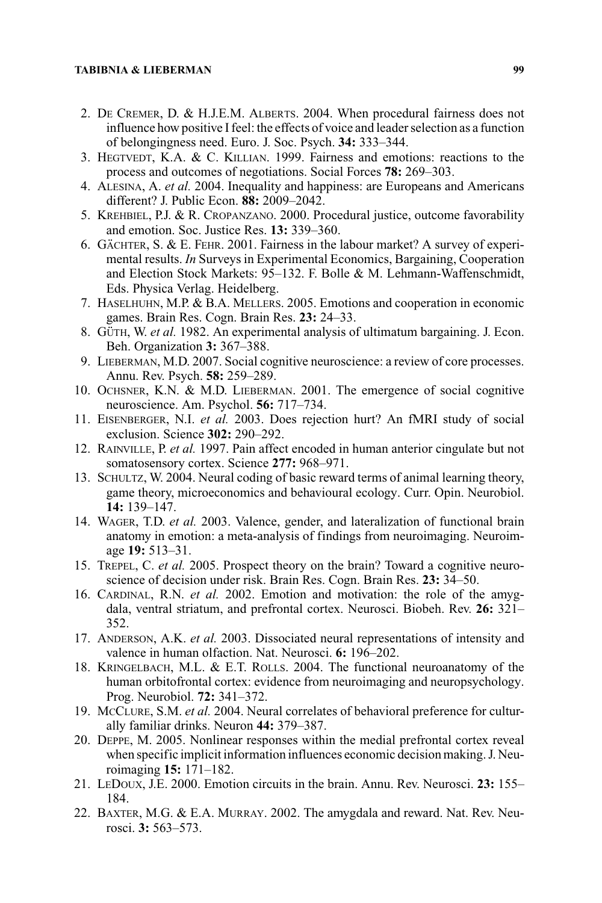- 2. DE CREMER, D. & H.J.E.M. ALBERTS. 2004. When procedural fairness does not influence how positive I feel: the effects of voice and leader selection as a function of belongingness need. Euro. J. Soc. Psych. **34:** 333–344.
- 3. HEGTVEDT, K.A. & C. KILLIAN. 1999. Fairness and emotions: reactions to the process and outcomes of negotiations. Social Forces **78:** 269–303.
- 4. ALESINA, A. *et al.* 2004. Inequality and happiness: are Europeans and Americans different? J. Public Econ. **88:** 2009–2042.
- 5. KREHBIEL, P.J. & R. CROPANZANO. 2000. Procedural justice, outcome favorability and emotion. Soc. Justice Res. **13:** 339–360.
- 6. GÄCHTER, S. & E. FEHR. 2001. Fairness in the labour market? A survey of experimental results. *In* Surveys in Experimental Economics, Bargaining, Cooperation and Election Stock Markets: 95–132. F. Bolle & M. Lehmann-Waffenschmidt, Eds. Physica Verlag. Heidelberg.
- 7. HASELHUHN, M.P. & B.A. MELLERS. 2005. Emotions and cooperation in economic games. Brain Res. Cogn. Brain Res. **23:** 24–33.
- 8. GÜTH, W. et al. 1982. An experimental analysis of ultimatum bargaining. J. Econ. Beh. Organization **3:** 367–388.
- 9. LIEBERMAN, M.D. 2007. Social cognitive neuroscience: a review of core processes. Annu. Rev. Psych. **58:** 259–289.
- 10. OCHSNER, K.N. & M.D. LIEBERMAN. 2001. The emergence of social cognitive neuroscience. Am. Psychol. **56:** 717–734.
- 11. EISENBERGER, N.I. *et al.* 2003. Does rejection hurt? An fMRI study of social exclusion. Science **302:** 290–292.
- 12. RAINVILLE, P. *et al.* 1997. Pain affect encoded in human anterior cingulate but not somatosensory cortex. Science **277:** 968–971.
- 13. SCHULTZ, W. 2004. Neural coding of basic reward terms of animal learning theory, game theory, microeconomics and behavioural ecology. Curr. Opin. Neurobiol. **14:** 139–147.
- 14. WAGER, T.D. *et al.* 2003. Valence, gender, and lateralization of functional brain anatomy in emotion: a meta-analysis of findings from neuroimaging. Neuroimage **19:** 513–31.
- 15. TREPEL, C. *et al.* 2005. Prospect theory on the brain? Toward a cognitive neuroscience of decision under risk. Brain Res. Cogn. Brain Res. **23:** 34–50.
- 16. CARDINAL, R.N. *et al.* 2002. Emotion and motivation: the role of the amygdala, ventral striatum, and prefrontal cortex. Neurosci. Biobeh. Rev. **26:** 321– 352.
- 17. ANDERSON, A.K. *et al.* 2003. Dissociated neural representations of intensity and valence in human olfaction. Nat. Neurosci. **6:** 196–202.
- 18. KRINGELBACH, M.L. & E.T. ROLLS. 2004. The functional neuroanatomy of the human orbitofrontal cortex: evidence from neuroimaging and neuropsychology. Prog. Neurobiol. **72:** 341–372.
- 19. MCCLURE, S.M. *et al.* 2004. Neural correlates of behavioral preference for culturally familiar drinks. Neuron **44:** 379–387.
- 20. DEPPE, M. 2005. Nonlinear responses within the medial prefrontal cortex reveal when specific implicit information influences economic decision making. J. Neuroimaging **15:** 171–182.
- 21. LEDOUX, J.E. 2000. Emotion circuits in the brain. Annu. Rev. Neurosci. **23:** 155– 184.
- 22. BAXTER, M.G. & E.A. MURRAY. 2002. The amygdala and reward. Nat. Rev. Neurosci. **3:** 563–573.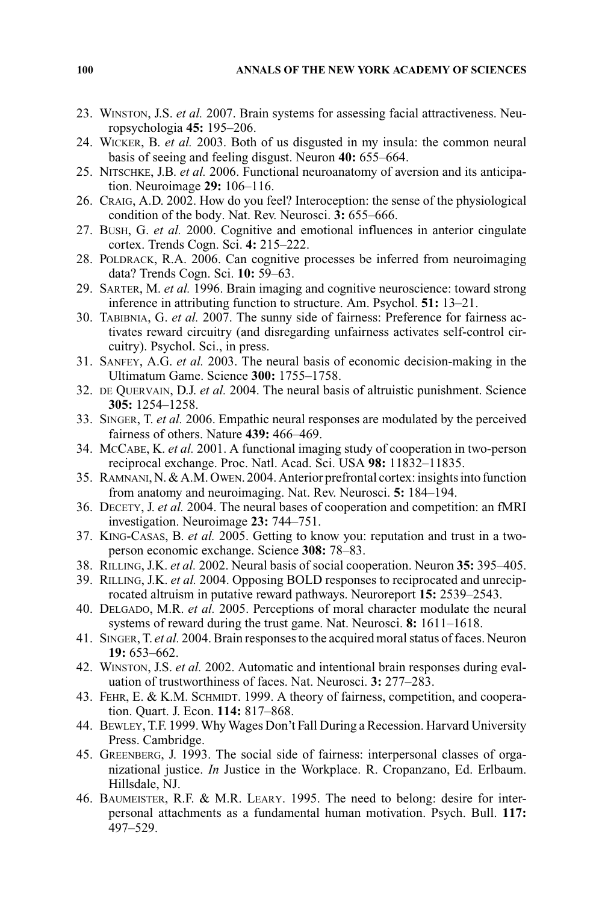- 23. WINSTON, J.S. *et al.* 2007. Brain systems for assessing facial attractiveness. Neuropsychologia **45:** 195–206.
- 24. WICKER, B. *et al.* 2003. Both of us disgusted in my insula: the common neural basis of seeing and feeling disgust. Neuron **40:** 655–664.
- 25. NITSCHKE, J.B. *et al.* 2006. Functional neuroanatomy of aversion and its anticipation. Neuroimage **29:** 106–116.
- 26. CRAIG, A.D. 2002. How do you feel? Interoception: the sense of the physiological condition of the body. Nat. Rev. Neurosci. **3:** 655–666.
- 27. BUSH, G. *et al.* 2000. Cognitive and emotional influences in anterior cingulate cortex. Trends Cogn. Sci. **4:** 215–222.
- 28. POLDRACK, R.A. 2006. Can cognitive processes be inferred from neuroimaging data? Trends Cogn. Sci. **10:** 59–63.
- 29. SARTER, M. *et al.* 1996. Brain imaging and cognitive neuroscience: toward strong inference in attributing function to structure. Am. Psychol. **51:** 13–21.
- 30. TABIBNIA, G. *et al.* 2007. The sunny side of fairness: Preference for fairness activates reward circuitry (and disregarding unfairness activates self-control circuitry). Psychol. Sci., in press.
- 31. SANFEY, A.G. *et al.* 2003. The neural basis of economic decision-making in the Ultimatum Game. Science **300:** 1755–1758.
- 32. DE QUERVAIN, D.J. *et al.* 2004. The neural basis of altruistic punishment. Science **305:** 1254–1258.
- 33. SINGER, T. *et al.* 2006. Empathic neural responses are modulated by the perceived fairness of others. Nature **439:** 466–469.
- 34. MCCABE, K. *et al.* 2001. A functional imaging study of cooperation in two-person reciprocal exchange. Proc. Natl. Acad. Sci. USA **98:** 11832–11835.
- 35. RAMNANI, N. & A.M. OWEN. 2004. Anterior prefrontal cortex: insights into function from anatomy and neuroimaging. Nat. Rev. Neurosci. **5:** 184–194.
- 36. DECETY, J. *et al.* 2004. The neural bases of cooperation and competition: an fMRI investigation. Neuroimage **23:** 744–751.
- 37. KING-CASAS, B. *et al.* 2005. Getting to know you: reputation and trust in a twoperson economic exchange. Science **308:** 78–83.
- 38. RILLING, J.K. *et al.* 2002. Neural basis of social cooperation. Neuron **35:** 395–405.
- 39. RILLING, J.K. *et al.* 2004. Opposing BOLD responses to reciprocated and unreciprocated altruism in putative reward pathways. Neuroreport **15:** 2539–2543.
- 40. DELGADO, M.R. *et al.* 2005. Perceptions of moral character modulate the neural systems of reward during the trust game. Nat. Neurosci. **8:** 1611–1618.
- 41. SINGER, T. *et al.* 2004.Brain responsesto the acquired moralstatus offaces. Neuron **19:** 653–662.
- 42. WINSTON, J.S. *et al.* 2002. Automatic and intentional brain responses during evaluation of trustworthiness of faces. Nat. Neurosci. **3:** 277–283.
- 43. FEHR, E. & K.M. SCHMIDT. 1999. A theory of fairness, competition, and cooperation. Quart. J. Econ. **114:** 817–868.
- 44. BEWLEY, T.F. 1999. Why Wages Don't Fall During aRecession. Harvard University Press. Cambridge.
- 45. GREENBERG, J. 1993. The social side of fairness: interpersonal classes of organizational justice. *In* Justice in the Workplace. R. Cropanzano, Ed. Erlbaum. Hillsdale, NJ.
- 46. BAUMEISTER, R.F. & M.R. LEARY. 1995. The need to belong: desire for interpersonal attachments as a fundamental human motivation. Psych. Bull. **117:** 497–529.